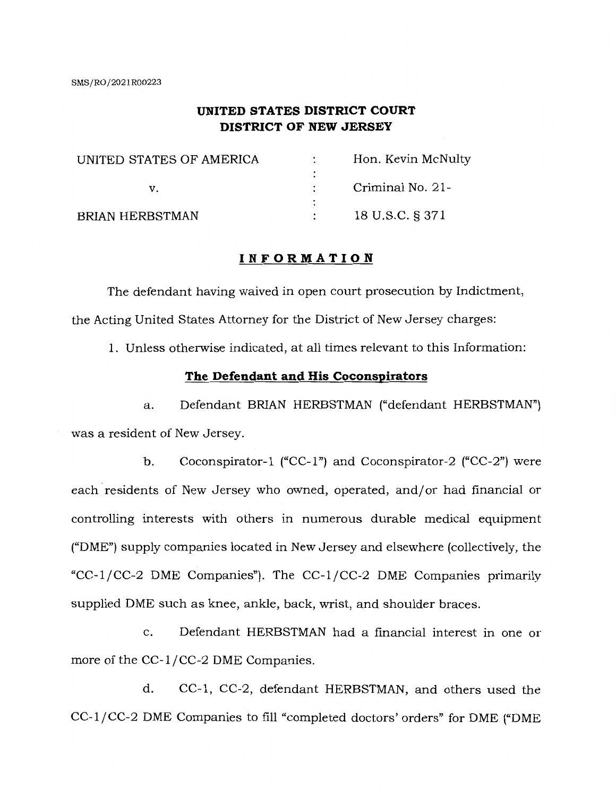# **UNITED STATES DISTRICT COURT DISTRICT OF NEW JERSEY**

| UNITED STATES OF AMERICA | Hon. Kevin McNulty |
|--------------------------|--------------------|
|                          |                    |
| v.                       | Criminal No. 21-   |
|                          |                    |
| <b>BRIAN HERBSTMAN</b>   | 18 U.S.C. § 371    |

## **INFORMATION**

The defendant having waived in open court prosecution by Indictment, the Acting United States Attorney for the District of New Jersey charges:

1. Unless otherwise indicated, at all times relevant to this Information:

## **The Defendant and His Coconspirators**

a. Defendant BRIAN HERBSTMAN ("defendant HERBSTMAN") was a resident of New Jersey.

b. Coconspirator-1 ("CC-1") and Coconspirator-2 ("CC-2") were each residents of New Jersey who owned, operated, and/or had financial or controlling interests with others in numerous durable medical equipment ("DME") supply companies located in New Jersey and elsewhere (collectively, the "CC-1/CC-2 DME Companies"). The CC-1/CC-2 DME Companies primarily supplied DME such as knee, ankle, back, wrist, and shoulder braces.

c. Defendant HERBSTMAN had a financial interest in one or more of the CC-1/CC-2 DME Companies.

d. CC-1, CC-2, defendant HERBSTMAN, and others used the CC-1/CC-2 DME Companies to fill "completed doctors' orders" for DME ("DME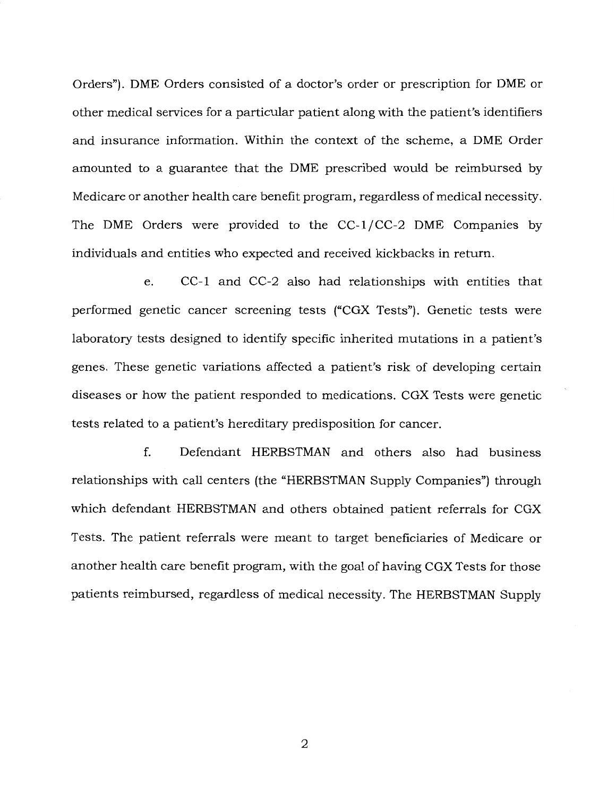Orders"). DME Orders consisted of a doctor's order or prescription for DME or other medical services for a particular patient along with the patient's identifiers and insurance information. Within the context of the scheme, a DME Order amounted to a guarantee that the DME prescribed would be reimbursed by Medicare or another health care benefit program, regardless of medical necessity. The DME Orders were provided to the CC-1/CC-2 DME Companies by individuals and entities who expected and received kickbacks in return.

e. CC-1 and CC-2 also had relationships with entities that performed genetic cancer screening tests ("CGX Tests"). Genetic tests were laboratory tests designed to identify specific inherited mutations in a patient's genes. These genetic variations affected a patient's risk of developing certain diseases or how the patient responded to medications. CGX Tests were genetic tests related to a patient's hereditary predisposition for cancer.

f. Defendant HERBSTMAN and others also had business relationships with call centers (the "HERBSTMAN Supply Companies") through which defendant HERBSTMAN and others obtained patient referrals for CGX Tests. The patient referrals were meant to target beneficiaries of Medicare or another health care benefit program, with the goal of having CGX Tests for those patients reimbursed, regardless of medical necessity. The HERBSTMAN Supply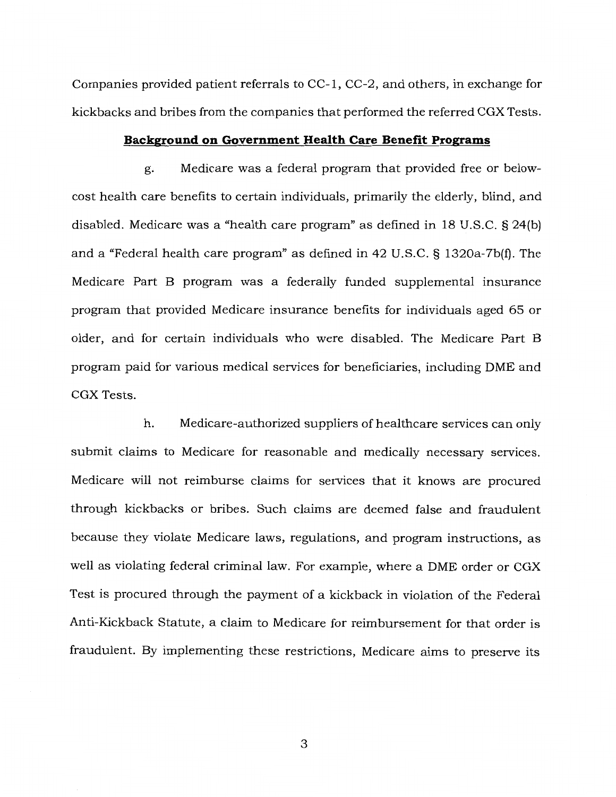Companies provided patient referrals to CC-1, CC-2, and others, in exchange for kickbacks and bribes from the companies that performed the referred CGX Tests.

## **Background on Government Health Care Benefit Programs**

g. Medicare was a federal program that provided free or belowcost health care benefits to certain individuals, primarily the elderly, blind, and disabled. Medicare was a "health care program" as defined in 18 U.S.C. § 24(b) and a "Federal health care program" as defined in 42 U.S.C. § 1320a-7b(f). The Medicare Part B program was a federally funded supplemental insurance program that provided Medicare insurance benefits for individuals aged 65 or older, and for certain individuals who were disabled. The Medicare Part B program paid for various medical services for beneficiaries, including DME and CGX Tests.

h. Medicare-authorized suppliers of healthcare services can only submit claims to Medicare for reasonable and medically necessary services. Medicare will not reimburse claims for services that it knows are procured through kickbacks or bribes. Such claims are deemed false and fraudulent because they violate Medicare laws, regulations, and program instructions, as well as violating federal criminal law. For example, where a DME order or CGX Test is procured through the payment of a kickback in violation of the Federal Anti-Kickback Statute, a claim to Medicare for reimbursement for that order is fraudulent. By implementing these restrictions, Medicare aims to preserve its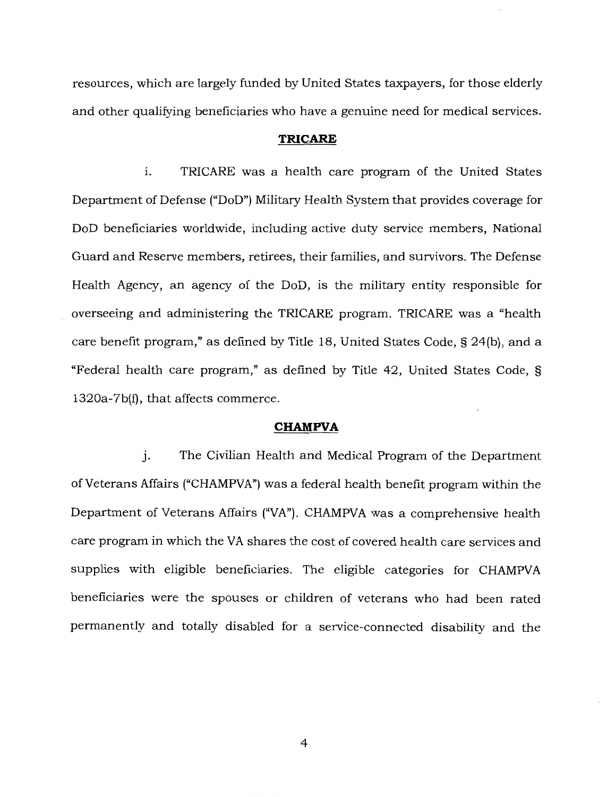resources, which are largely funded by United States taxpayers, for those elderly and other qualifying beneficiaries who have a genuine need for medical services.

## **TRICARE**

1. TRICARE was a health care program of the United States Department of Defense ("DoD") Military Health System that provides coverage for DoD beneficiaries worldwide, including active duty service members, National Guard and Reserve members, retirees, their families, and survivors. The Defense Health Agency, an agency of the DoD, is the military entity responsible for overseeing and administering the TRICARE program. TRICARE was a "health care benefit program," as defined by Title 18, United States Code, § 24(b), and a "Federal health care program," as defined by Title 42, United States Code, § 1320a-7b(f), that affects commerce.

#### **CHAMPVA**

j. The Civilian Health and Medical Program of the Department of Veterans Affairs ("CHAMPVA") was a federal health benefit program within the Department of Veterans Affairs ("VA"). CHAMPVA was a comprehensive health care program in which the VA shares the cost of covered health care services and supplies with eligible beneficiaries. The eligible categories for CHAMPVA beneficiaries were the spouses or children of veterans who had been rated permanently and totally disabled for a service-connected disability and the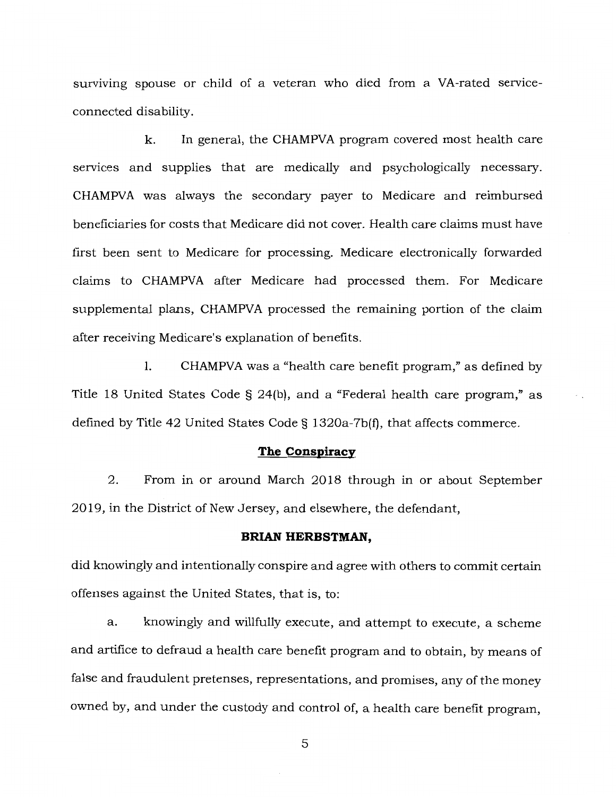surviving spouse or child of a veteran who died from a VA-rated serviceconnected disability.

k. In general, the CHAMPVA program covered most health care services and supplies that are medically and psychologically necessary. CHAMPVA was always the secondary payer to Medicare and reimbursed beneficiaries for costs that Medicare did not cover. Health care claims must have first been sent to Medicare for processing. Medicare electronically forwarded claims to CHAMPVA after Medicare had processed them. For Medicare supplemental plans, CHAMPVA processed the remaining portion of the claim after receiving Medicare's explanation of benefits.

1. CHAMPVA was a "health care benefit program," as defined by Title 18 United States Code § 24(b), and a "Federal health care program," as defined by Title 42 United States Code§ 1320a-7b(f), that affects commerce.

## **The Conspiracy**

2. From in or around March 2018 through in or about September 2019, in the District of New Jersey, and elsewhere, the defendant,

### **BRIAN HERBSTMAN,**

did knowingly and intentionally conspire and agree with others to commit certain offenses against the United States, that is, to:

a. knowingly and willfully execute, and attempt to execute, a scheme and artifice to defraud a health care benefit program and to obtain, by means of false and fraudulent pretenses, representations, and promises, any of the money owned by, and under the custody and control of, a health care benefit program,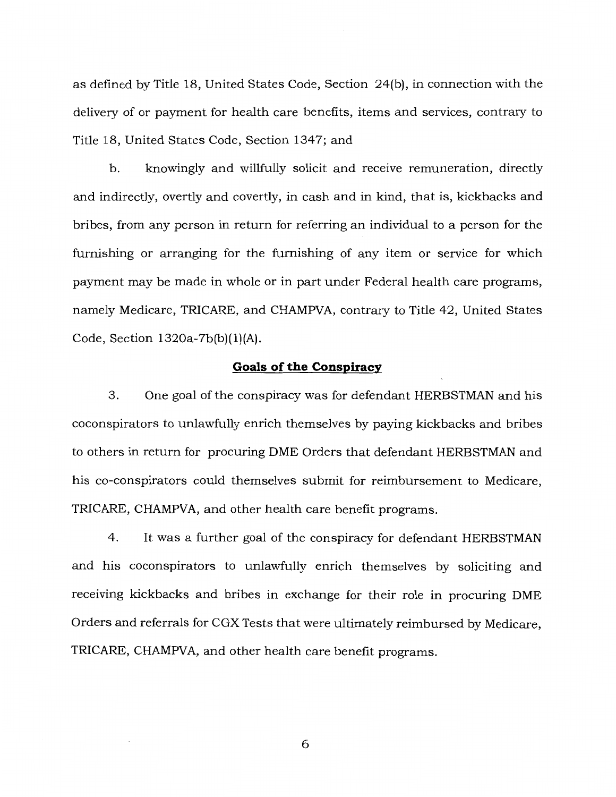as defined by Title 18, United States Code, Section 24(b), in connection with the delivery of or payment for health care benefits, items and services, contrary to Title 18, United States Code, Section 1347; and

b. knowingly and willfully solicit and receive remuneration, directly and indirectly, overtly and covertly, in cash and in kind, that is, kickbacks and bribes, from any person in return for referring an individual to a person for the furnishing or arranging for the furnishing of any item or service for which payment may be made in whole or in part under Federal health care programs, namely Medicare, TRICARE, and CHAMPVA, contrary to Title 42, United States Code, Section 1320a-7b(b)(l)(A).

### **Goals of the Conspiracy**

3. One goal of the conspiracy was for defendant HERBSTMAN and his coconspirators to unlawfully enrich themselves by paying kickbacks and bribes to others in return for procuring DME Orders that defendant HERBSTMAN and his co-conspirators could themselves submit for reimbursement to Medicare, TRICARE, CHAMPVA, and other health care benefit programs.

4. It was a further goal of the conspiracy for defendant HERBSTMAN and his coconspirators to unlawfully enrich themselves by soliciting and receiving kickbacks and bribes in exchange for their role in procuring DME Orders and referrals for CGX Tests that were ultimately reimbursed by Medicare, TRICARE, CHAMPVA, and other health care benefit programs.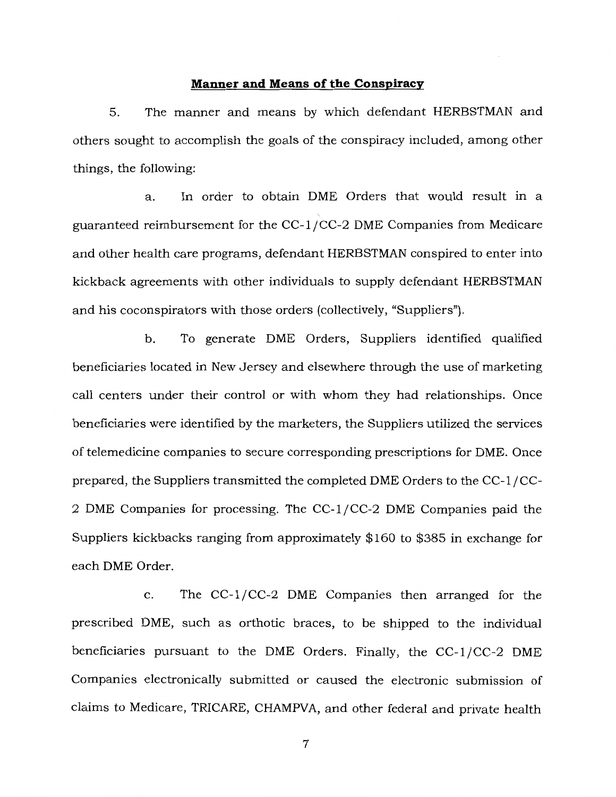## **Manner and Means of the Conspiracy**

5. The manner and means by which defendant HERBSTMAN and others sought to accomplish the goals of the conspiracy included, among other things, the following:

a. In order to obtain DME Orders that would result in a guaranteed reimbursement for the CC-1 / CC-2 DME Companies from Medicare and other health care programs, defendant HERBSTMAN conspired to enter into kickback agreements with other individuals to supply defendant HERBSTMAN and his coconspirators with those orders (collectively, "Suppliers").

b. To generate DME Orders, Suppliers identified qualified beneficiaries located in New Jersey and elsewhere through the use of marketing call centers under their control or with whom they had relationships. Once beneficiaries were identified by the marketers, the Suppliers utilized the services of telemedicine companies to secure corresponding prescriptions for DME. Once prepared, the Suppliers transmitted the completed DME Orders to the CC-1 / CC-2 DME Companies for processing. The CC-1/CC-2 DME Companies paid the Suppliers kickbacks ranging from approximately \$160 to \$385 in exchange for each DME Order.

c. The CC-1/CC-2 DME Companies then arranged for the prescribed DME, such as orthotic braces, to be shipped to the individual beneficiaries pursuant to the DME Orders. Finally, the  $CC-1/CC-2$  DME Companies electronically submitted or caused the electronic submission of claims to Medicare, TRICARE, CHAMPVA, and other federal and private health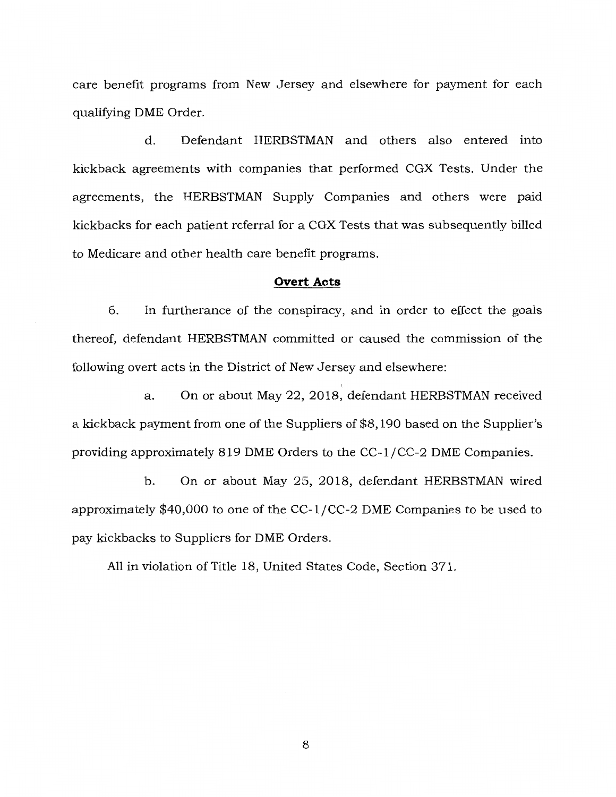care benefit programs from New Jersey and elsewhere for payment for each qualifying DME Order.

d. Defendant HERBSTMAN and others also entered into kickback agreements with companies that performed CGX Tests. Under the agreements, the HERBSTMAN Supply Companies and others were paid kickbacks for each patient referral for a CGX Tests that was subsequently billed to Medicare and other health care benefit programs.

### **Overt Acts**

6. In furtherance of the conspiracy, and in order to effect the goals thereof, defendant HERBSTMAN committed or caused the commission of the following overt acts in the District of New Jersey and elsewhere:

a. On or about May 22, 2018, defendant HERBSTMAN received a kickback payment from one of the Suppliers of \$8,190 based on the Supplier's providing approximately 819 DME Orders to the CC-1/CC-2 DME Companies.

b. On or about May 25, 2018, defendant HERBSTMAN wired approximately \$40,000 to one of the CC-1/CC-2 DME Companies to be used to pay kickbacks to Suppliers for DME Orders.

All in violation of Title 18, United States Code, Section 371.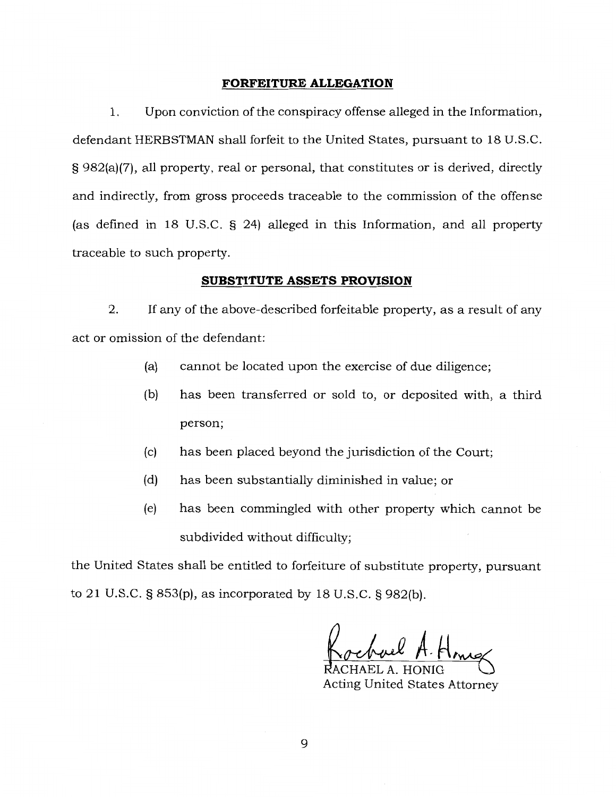## **FORFEITURE ALLEGATION**

1. Upon conviction of the conspiracy offense alleged in the Information, defendant HERBSTMAN shall forfeit to the United States, pursuant to 18 U.S.C. § 982(a)(7), all property, real or personal, that constitutes or is derived, directly and indirectly, from gross proceeds traceable to the commission of the offense (as defined in 18 U.S.C. § 24) alleged in this Information, and all property traceable to such property.

### **SUBSTITUTE ASSETS PROVISION**

2. If any of the above-described forfeitable property, as a result of any act or omission of the defendant:

- (a) cannot be located upon the exercise of due diligence;
- (b) has been transferred or sold to, or deposited with, a third person;
- (c) has been placed beyond the jurisdiction of the Court;
- (d) has been substantially diminished in value; or
- (e) has been commingled with other property which cannot be subdivided without difficulty;

the United States shall be entitled to forfeiture of substitute property, pursuant to 21 U.S.C. § 853(p), as incorporated by 18 U.S.C. § 982(b).

Acting United States Attorney